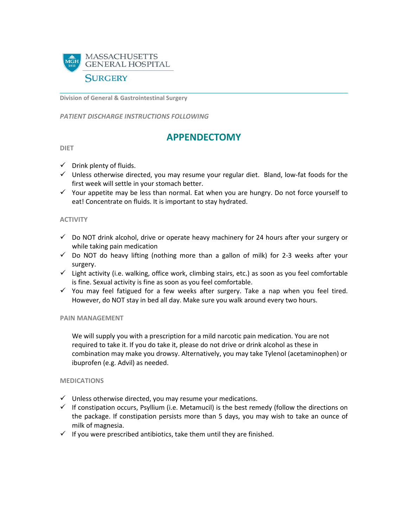

**Division of General & Gastrointestinal Surgery**

*PATIENT DISCHARGE INSTRUCTIONS FOLLOWING* 

# **APPENDECTOMY**

#### **DIET**

- $\checkmark$  Drink plenty of fluids.
- $\checkmark$  Unless otherwise directed, you may resume your regular diet. Bland, low-fat foods for the first week will settle in your stomach better.
- $\checkmark$  Your appetite may be less than normal. Eat when you are hungry. Do not force yourself to eat! Concentrate on fluids. It is important to stay hydrated.

## **ACTIVITY**

- $\checkmark$  Do NOT drink alcohol, drive or operate heavy machinery for 24 hours after your surgery or while taking pain medication
- $\checkmark$  Do NOT do heavy lifting (nothing more than a gallon of milk) for 2-3 weeks after your surgery.
- $\checkmark$  Light activity (i.e. walking, office work, climbing stairs, etc.) as soon as you feel comfortable is fine. Sexual activity is fine as soon as you feel comfortable.
- $\checkmark$  You may feel fatigued for a few weeks after surgery. Take a nap when you feel tired. However, do NOT stay in bed all day. Make sure you walk around every two hours.

#### **PAIN MANAGEMENT**

We will supply you with a prescription for a mild narcotic pain medication. You are not required to take it. If you do take it, please do not drive or drink alcohol as these in combination may make you drowsy. Alternatively, you may take Tylenol (acetaminophen) or ibuprofen (e.g. Advil) as needed.

#### **MEDICATIONS**

- $\checkmark$  Unless otherwise directed, you may resume your medications.
- $\checkmark$  If constipation occurs, Psyllium (i.e. Metamucil) is the best remedy (follow the directions on the package. If constipation persists more than 5 days, you may wish to take an ounce of milk of magnesia.
- $\checkmark$  If you were prescribed antibiotics, take them until they are finished.